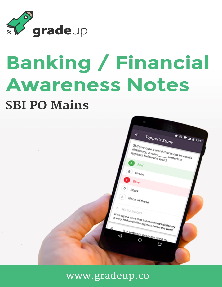

# **Banking / Financial Awareness Notes SBI PO Mains**



www.gradeup.co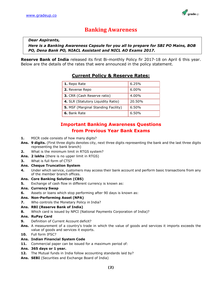

## **Banking Awareness**

#### *Dear Aspirants,*

*Here is a Banking Awareness Capsule for you all to prepare for SBI PO Mains, BOB PO, Dena Bank PO, NIACL Assistant and NICL AO Exams 2017.*

**Reserve Bank of India** released its first Bi-monthly Policy fir 2017-18 on April 6 this year. Below are the details of the rates that were announced in the policy statement.

### **Current Policy & Reserve Rates:**

| 1. Repo Rate                               | 6.25%    |
|--------------------------------------------|----------|
| 2. Reverse Repo                            | $6.00\%$ |
| 3. CRR (Cash Reserve ratio)                | 4.00%    |
| 4. SLR (Statutory Liquidity Ratio)         | 20.50%   |
| <b>5.</b> MSF (Marginal Standing Facility) | 6.50%    |
| 6. Bank Rate                               | 6.50%    |

### **Important Banking Awareness Questions from Previous Year Bank Exams**

- **1.** MICR code consists of how many digits?
- **Ans. 9 digits.** (First three digits denotes city, next three digits representing the bank and the last three digits representing the bank branch)
- **2.** What is the minimum limit in RTGS system?
- **Ans. 2 lakhs** (there is no upper limit in RTGS)
- **3.** What is full form of CTS?

#### **Ans. Cheque Truncation System**

**4.** Under which service, customers may access their bank account and perform basic transactions from any of the member branch offices.

#### **Ans. Core Banking Solution (CBS)**

**5.** Exchange of cash flow in different currency is known as:

#### **Ans. Currency Swap**

**6.** Assets or loans which stop performing after 90 days is known as:

#### **Ans. Non-Performing Asset (NPA)**

**7.** Who controls the Monetary Policy in India?

#### **Ans. RBI (Reserve Bank of India)**

**8.** Which card is issued by NPCI (National Payments Corporation of India)?

#### **Ans. RuPay Card**

- **9.** Definition of Current Account deficit?
- **Ans.** A measurement of a country's trade in which the value of goods and services it imports exceeds the value of goods and services it exports.
- **10.** Full form IFSC?

#### **Ans. Indian Financial System Code**

**11.** Commercial paper can be issued for a maximum period of:

#### **Ans. 365 days or 1 year.**

- **12.** The Mutual funds in India follow accounting standards laid by?
- **Ans. SEBI** (Securities and Exchange Board of India)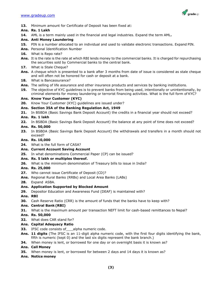

- **13.** Minimum amount for Certificate of Deposit has been fixed at:
- **Ans. Rs. 1 Lakh**
- **14.** AML is a term mainly used in the financial and legal industries. Expand the term AML**.**

#### **Ans. Anti Money Laundering**

- **15.** PIN is a number allocated to an individual and used to validate electronic transactions. Expand PIN.
- **Ans.** Personal Identification Number
- **16.** What is Repo rate?
- **Ans.** It is the rate is the rate at which RBI lends money to the commercial banks. It is charged for repurchasing the securities sold by Commercial banks to the central bank.
- 17. What is Stale Cheque?
- **Ans.** A cheque which is presented to a bank after 3 months from date of issue is considered as stale cheque and will often not be honored for cash or deposit at a bank.
- **18.** What is Bancassurance?
- **Ans.** The selling of life assurance and other insurance products and services by banking institutions.
- **19.** The objective of KYC guidelines is to prevent banks from being used, intentionally or unintentionally, by criminal elements for money laundering or terrorist financing activities. What is the full form of KYC?

#### **Ans. Know Your Customer (KYC)**

**20.** Know Your Customer (KYC) guidelines are issued under?

#### **Ans. Section 35A of the Banking Regulation Act, 1949**

**21.** In BSBDA (Basic Savings Bank Deposit Account) the credits in a financial year should not exceed?

#### **Ans. Rs. 1 lakh**

**22.** In BSBDA (Basic Savings Bank Deposit Account) the balance at any point of time does not exceed?

#### **Ans. Rs. 50,000**

**23.** In BSBDA (Basic Savings Bank Deposit Account) the withdrawals and transfers in a month should not exceed?

#### **Ans. Rs. 10,000**

**24.** What is the full form of CASA?

#### **Ans. Current Account Saving Account**

**25.** In what denominations Commercial Paper (CP) can be issued?

#### **Ans. Rs. 5 lakh or multiples thereof.**

**26.** What is the minimum denomination of Treasury bills to issue in India?

#### **Ans. Rs. 25,000**

- **27.** Who cannot issue Certificate of Deposit (CD)?
- **Ans.** Regional Rural Banks (RRBs) and Local Area Banks (LABs)
- **28.** Expand ASBA.

#### **Ans. Application Supported by Blocked Amount**

**29.** Depositor Education and Awareness Fund (DEAF) is maintained with?

#### **Ans. RBI**

**30.** Cash Reserve Ratio (CRR) is the amount of funds that the banks have to keep with?

#### **Ans. Central Bank (RBI)**

**31.** What is the maximum amount per transaction NEFT limit for cash-based remittances to Nepal?

#### **Ans. Rs. 50,000**

**32.** What does CAR stand for?

#### **Ans. Capital Adequacy Ratio**

- **33.** IFSC code consists of \_\_\_ alpha numeric code.
- **Ans. 11 digits** (The IFSC is an 11-digit alpha numeric code, with the first four digits identifying the bank, fifth is numeric (kept 0) and the last six digits represent the bank branch.)
- **34.** When money is lent, or borrowed for one day or on overnight basis it is known as?

#### **Ans. Call Money**

**35.** When money is lent, or borrowed for between 2 days and 14 days it is known as?

#### **Ans. Notice money**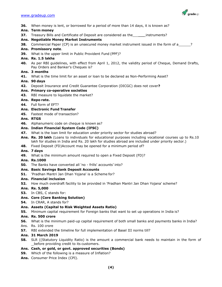

- **36.** When money is lent, or borrowed for a period of more than 14 days, it is known as?
- **Ans. Term money**
- **37.** Treasury Bills and Certificate of Deposit are considered as the \_\_\_\_\_\_\_instruments?
- **Ans. Negotiable Money Market Instruments**
- **38.** Commercial Paper (CP) is an unsecured money market instrument issued in the form of a\_\_\_\_\_\_?
- **Ans. Promissory note**.
- **39.** What is the upper limit in Public Provident Fund (PPF)?
- **Ans. Rs. 1.5 lakhs**
- **40.** As per RBI guidelines, with effect from April 1, 2012, the validity period of Cheque, Demand Drafts, Pay Orders and Banker's Cheques is?

#### **Ans. 3 months**

- **41.** What is the time limit for an asset or loan to be declared as Non-Performing Asset?
- **Ans. 90 days**
- **42.** Deposit Insurance and Credit Guarantee Corporation (DICGC) does not cover**?**
- **Ans. Primary co-operative societies**
- **43.** RBI measure to liquidate the market?
- **Ans. Repo rate.**
- **44.** Full form of EFT?
- **Ans. Electronic Fund Transfer**
- **45.** Fastest mode of transaction?

#### **Ans. RTGS**

**46.** Alphanumeric code on cheque is known as?

#### **Ans. Indian Financial System Code (IFSC)**

- **47.** What is the loan limit for education under priority sector for studies abroad?
- **Ans. Rs. 20 lakh** (Loans to individuals for educational purposes including vocational courses up to Rs.10 lakh for studies in India and Rs. 20 lakh for studies abroad are included under priority sector.)
- **48.** Fixed Deposit (FD)Account may be opened for a minimum period of?
- **Ans. 7 days**
- **49.** What is the minimum amount required to open a Fixed Deposit (FD)?

#### **Ans. Rs.1000**

- **50.** The Banks have converted all 'no frills' accounts' into?
- **Ans. Basic Savings Bank Deposit Accounts**
- **51.** 'Pradhan Mantri Jan Dhan Yojana' is a Scheme for?

#### **Ans. Financial inclusion**

- **52.** How much overdraft facility to be provided in 'Pradhan Mantri Jan Dhan Yojana' scheme?
- **Ans. Rs. 5,000**
- **53.** In CBS, C stands for:

#### **Ans. Core (Core Banking Solution)**

- **54.** In CRAR, A stands for?
- **Ans. Assets (Capital to Risk Weighted Assets Ratio)**
- **55.** Minimum capital requirement for Foreign banks that want to set up operations in India is?

#### **Ans. Rs. 500 crore**

- **56.** What is the minimum paid-up capital requirement of both small banks and payments banks in India?
- Ans. Rs. 100 crore
- **57.** RBI extended the timeline for full implementation of Basel III norms till?

#### **Ans. 31 March 2019**

**58.** SLR ((Statutory Liquidity Ratio) is the amount a commercial bank needs to maintain in the form of before providing credit to its customers.

#### **Ans. Cash, or gold, or govt. approved securities (Bonds)**

- **59.** Which of the following is a measure of Inflation?
- **Ans.** Consumer Price Index (CPI).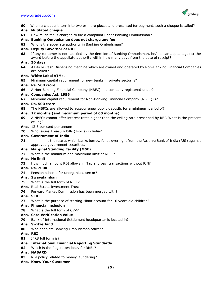

**60.** When a cheque is torn into two or more pieces and presented for payment, such a cheque is called?

#### **Ans. Mutilated cheque**

**61.** How much fee is charged to file a complaint under Banking Ombudsman?

#### **Ans. Banking Ombudsman does not charge any fee**

**62.** Who is the appellate authority in Banking Ombudsman?

#### **Ans. Deputy Governor of RBI**

**63.** If any customer is not satisfied by the decision of Banking Ombudsman, he/she can appeal against the award before the appellate authority within how many days from the date of receipt?

#### **Ans. 30 days**

**64.** ATMs or Cash Dispensing machine which are owned and operated by Non-Banking Financial Companies are called?

#### **Ans. White Label ATMs.**

**65.** Minimum capital requirement for new banks in private sector is?

#### **Ans. Rs. 500 crore**

**66.** A Non-Banking Financial Company (NBFC) is a company registered under?

#### **Ans. Companies Act, 1956**

**67.** Minimum capital requirement for Non-Banking Financial Company (NBFC) is?

#### **Ans. Rs. 500 crore**

**68.** The NBFCs are allowed to accept/renew public deposits for a minimum period of?

#### **Ans. 12 months (and maximum period of 60 months)**

- **69.** A NBFCs cannot offer interest rates higher than the ceiling rate prescribed by RBI. What is the present ceiling?
- **Ans.** 12.5 per cent per annum
- **70.** Who issues Treasury bills (T-bills) in India?

#### **Ans. Government of India**

**71. 1. a.** is the rate at which banks borrow funds overnight from the Reserve Bank of India (RBI) against approved government securities.

#### **Ans. Marginal Standing Facility (MSF)**

**72.** What is the minimum and maximum limit of NEFT?

#### **Ans. No limit**

**73.** How much amount RBI allows in 'Tap and pay' transactions without PIN?

#### **Ans. Rs. 2000**

**74.** Pension scheme for unorganized sector?

#### **Ans. Swavalamban**

- **75.** What is the full form of REIT?
- **Ans.** Real Estate Investment Trust
- **76.** Forward Market Commission has been merged with?

#### **Ans. SEBI**

**77.** What is the purpose of starting Minor account for 10 years old children?

#### **Ans. Financial inclusion**

- **78.** What is the full form of CVV?
- **Ans. Card Verification Value**
- **79.** Bank of International Settlement headquarter is located in?

#### **Ans. Switzerland**

**80.** Who appoints Banking Ombudsman officer?

#### **Ans. RBI**

#### **81.** IFRS full form is?

- **Ans. International Financial Reporting Standards**
- **82.** Which is the Regulatory body for RRBs?
- **Ans. NABARD**
- **83.** RBI policy related to money laundering?
- **Ans. Know Your Customer**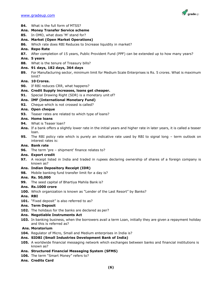

- **84.** What is the full form of MTSS?
- **Ans. Money Transfer Service scheme**
- **85.** In OMO, what does 'M' stand for?
- **Ans. Market (Open Market Operations)**
- **86.** Which rate does RBI Reduces to Increase liquidity in market?
- **Ans. Repo Rate**
- **87.** After completion of 15 years, Public Provident Fund (PPF) can be extended up to how many years?

#### **Ans. 5 years**

**88.** What is the tenure of Treasury bills?

#### **Ans. 91 days, 182 days, 364 days**

**89.** For Manufacturing sector, minimum limit for Medium Scale Enterprises is Rs. 5 crores. What is maximum limit?

#### **Ans. 10 Crores.**

- **90.** If RBI reduces CRR, what happens?
- **Ans. Credit Supply increases, loans get cheaper.**
- **91.** Special Drawing Right (SDR) is a monetary unit of?

#### **Ans. IMF (International Monetary Fund)**

**92.** Cheque which is not crossed is called?

#### **Ans. Open cheque**

**93.** Teaser rates are related to which type of loans?

#### **Ans. Home loans**

- **94.** What is Teaser loan?
- **Ans.** If a bank offers a slightly lower rate in the initial years and higher rate in later years, it is called a teaser loan.
- **95.** The RBI policy rate which is purely an indicative rate used by RBI to signal long term outlook on interest rates is:

#### **Ans. Bank rate**

**96.** The term 'pre – shipment' finance relates to?

#### **Ans. Export credit**

**97.** A receipt listed in India and traded in rupees declaring ownership of shares of a foreign company is known as?

#### **Ans. Indian Depository Receipt (IDR)**

**98.** Mobile banking fund transfer limit for a day is?

#### **Ans. Rs. 50,000**

- **99.** The seed capital of Bhartiya Mahila Bank is?
- **Ans. Rs.1000 crore**
- 100. Which organization is known as "Lender of the Last Resort" by Banks?

#### **Ans. RBI**

101. "Fixed deposit" is also referred to as?

#### **Ans. Term Deposit**

**102.** The holidays for the banks are declared as per?

#### **Ans. Negotiable Instruments Act**

**103.** In banking business, when the borrowers avail a term Loan, initially they are given a repayment holiday and this is referred as?

#### **Ans. Moratorium**

**104.** Regulator of Micro, Small and Medium enterprises in India is?

#### **Ans. SIDBI (Small Industries Development Bank of India)**

**105.** A worldwide financial messaging network which exchanges between banks and financial institutions is known as?

#### **Ans. Structured Financial Messaging System (SFMS)**

- 106. The term "Smart Money" refers to?
- **Ans. Credits Card**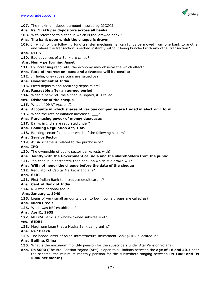

- **107.** The maximum deposit amount insured by DICGC?
- **Ans. Rs. 1 lakh per depositors across all banks**
- **108.** With reference to a cheque which is the 'drawee bank'?
- **Ans. The bank upon which the cheque is drawn**
- **109.** In which of the following fund transfer mechanisms, can funds be moved from one bank to another and where the transaction is settled instantly without being bunched with any other transaction?

#### **Ans. RTGS**

**110.** Bad advances of a Bank are called?

#### **Ans. Non – performing Asset**

**111.** By increasing repo rate, the economy may observe the which effect?

#### **Ans. Rate of interest on loans and advances will be costlier**

112. In India, one- rupee coins are issued by?

#### **Ans. Government of India**

113. Fixed deposits and recurring deposits are?

#### **Ans. Repayable after an agreed period**

- **114.** When a bank returns a cheque unpaid, it is called?
- Ans. **Dishonor of the cheque**
- **115.** What is 'DMAT Account'?

#### **Ans. Accounts in which shares of various companies are traded in electronic form**

- **116.** When the rate of inflation increases,  $\overline{\phantom{a}}$ ?
- **Ans. Purchasing power of money decreases**
- 117. Banks in India are regulated under?

#### **Ans. Banking Regulation Act, 1949**

- **118.** Banking sector falls under which of the following sectors?
- **Ans. Service Sector**
- **119.** ASBA scheme is related to the purchase of?

#### **Ans. IPO**

- **120.** The ownership of public sector banks rests with?
- **Ans. Jointly with the Government of India and the shareholders from the public**
- 121. If a cheque is postdated, then bank on which it is drawn will?

#### **Ans. Will not honor the cheque before the date of the cheque**

- **122.** Regulator of Capital Market in India is?
- **Ans. SEBI**
- **123.** First Indian Bank to introduce credit card is?

#### **Ans. Central Bank of India**

124. RBI was nationalized in?

#### **Ans. January 1, 1949**

**125.** Loans of very small amounts given to low income groups are called as?

#### **Ans. Micro Credit**

- **126.** When was RBI established?
- **Ans. April1, 1935**
- **127.** MUDRA Bank is a wholly-owned subsidiary of?
- Ans. **SIDBI**
- **128.** Maximum Loan that a Mudra Bank can grant is?
- **Ans. Rs 10 lakh**
- **129.** The headquarter of Asian Infrastructure Investment Bank (AIIB is located in?
- **Ans. Beijing, China**
- **130.** What is the maximum monthly pension for the subscribers under Atal Pension Yojana?
- **Ans. Rs 5000 (**The Atal Pension Yojana (APY) is open to all Indians between the **age of 18 and 40**. Under the scheme, the minimum monthly pension for the subscribers ranging between **Rs 1000 and Rs 5000 per month)**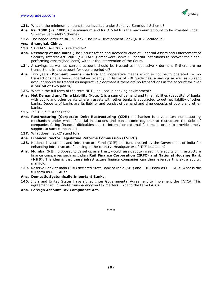

- 131. What is the minimum amount to be invested under Sukanya Samriddhi Scheme?
- **Ans. Rs. 1000 (**Rs. 1000 is the minimum and Rs. 1.5 lakh is the maximum amount to be invested under Sukanya Samriddhi Scheme).
- **132.** The headquarter of BRICS Bank "The New Development Bank (NDB)" located in?

#### Ans. **Shanghai, China.**

- **133.** SARFAESI Act 2002 is related to?
- **Ans. Recovery of bad loans** (The Securitization and Reconstruction of Financial Assets and Enforcement of Security Interest Act, 2002 (SARFAESI) empowers Banks / Financial Institutions to recover their nonperforming assets (bad loans) without the intervention of the Court.
- **134.** A savings as well as current account should be treated as inoperative / dormant if there are no transactions in the account for over a period of?
- **Ans.** Two years (**Dormant means inactive** and inoperative means which is not being operated i.e. no transactions have been undertaken recently. In terms of RBI guidelines, a savings as well as current account should be treated as inoperative / dormant if there are no transactions in the account for over **a period of two years**)
- **135.** What is the full form of the term NDTL, as used in banking environment?
- **Ans. Net Demand and Time Liability** (Note: It is a sum of demand and time liabilities (deposits) of banks with public and other banks wherein assets with other banks is subtracted to get net liability of other banks. Deposits of banks are its liability and consist of demand and time deposits of public and other banks.
- **136.** In CDR, "R" stands for?
- **Ans. Restructuring (Corporate Debt Restructuring (CDR)** mechanism is a voluntary non-statutory mechanism under which financial institutions and banks come together to restructure the debt of companies facing financial difficulties due to internal or external factors, in order to provide timely support to such companies)
- 137. What does 'FSLRC' stand for?
- **Ans. Financial Sector Legislative Reforms Commission (FSLRC)**
- **138.** National Investment and Infrastructure Fund (NIIF) is a fund created by the Government of India for enhancing infrastructure financing in the country. Headquarter of NIIF located in?
- **Ans. Mumbai (**NIIF, proposed to be set up as a Trust, would raise debt to invest in the equity of infrastructure finance companies such as Indian **Rail Finance Corporation (IRFC) and National Housing Bank (NHB).** The idea is that these infrastructure finance companies can then leverage this extra equity, manifold.
- **139.** Reserve Bank of India (RBI) declared State Bank of India (SBI) and ICICI Bank as D SIBs. What is the full form as D – SIBs?
- **Ans. Domestic Systemically Important Banks.**
- **140.** India and United States have signed Inter Governmental Agreement to implement the FATCA. This agreement will promote transparency on tax matters. Expand the term FATCA.
- **Ans. Foreign Account Tax Compliance Act.**

\*\*\*